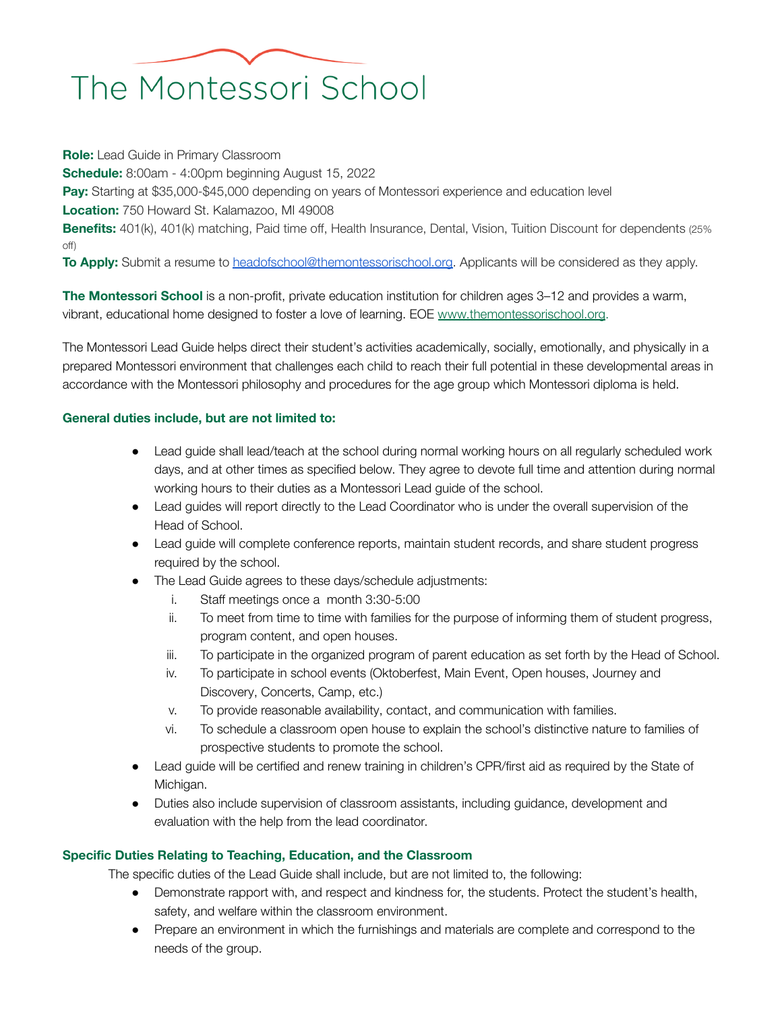## The Montessori School

**Role:** Lead Guide in Primary Classroom **Schedule:** 8:00am - 4:00pm beginning August 15, 2022 **Pay:** Starting at \$35,000-\$45,000 depending on years of Montessori experience and education level **Location:** 750 Howard St. Kalamazoo, MI 49008 **Benefits:** 401(k), 401(k) matching, Paid time off, Health Insurance, Dental, Vision, Tuition Discount for dependents (25%) off) **To Apply:** Submit a resume to [headofschool@themontessorischool.org.](mailto:headofschool@themontessorischool.org) Applicants will be considered as they apply.

**The Montessori School** is a non-profit, private education institution for children ages 3–12 and provides a warm, vibrant, educational home designed to foster a love of learning. EOE [www.themontessorischool.org](http://www.themontessorischool.org/).

The Montessori Lead Guide helps direct their student's activities academically, socially, emotionally, and physically in a prepared Montessori environment that challenges each child to reach their full potential in these developmental areas in accordance with the Montessori philosophy and procedures for the age group which Montessori diploma is held.

## **General duties include, but are not limited to:**

- Lead guide shall lead/teach at the school during normal working hours on all regularly scheduled work days, and at other times as specified below. They agree to devote full time and attention during normal working hours to their duties as a Montessori Lead guide of the school.
- Lead guides will report directly to the Lead Coordinator who is under the overall supervision of the Head of School.
- Lead guide will complete conference reports, maintain student records, and share student progress required by the school.
- The Lead Guide agrees to these days/schedule adjustments:
	- i. Staff meetings once a month 3:30-5:00
	- ii. To meet from time to time with families for the purpose of informing them of student progress, program content, and open houses.
	- iii. To participate in the organized program of parent education as set forth by the Head of School.
	- iv. To participate in school events (Oktoberfest, Main Event, Open houses, Journey and Discovery, Concerts, Camp, etc.)
	- v. To provide reasonable availability, contact, and communication with families.
	- vi. To schedule a classroom open house to explain the school's distinctive nature to families of prospective students to promote the school.
- Lead guide will be certified and renew training in children's CPR/first aid as required by the State of Michigan.
- Duties also include supervision of classroom assistants, including guidance, development and evaluation with the help from the lead coordinator.

## **Specific Duties Relating to Teaching, Education, and the Classroom**

The specific duties of the Lead Guide shall include, but are not limited to, the following:

- Demonstrate rapport with, and respect and kindness for, the students. Protect the student's health, safety, and welfare within the classroom environment.
- Prepare an environment in which the furnishings and materials are complete and correspond to the needs of the group.